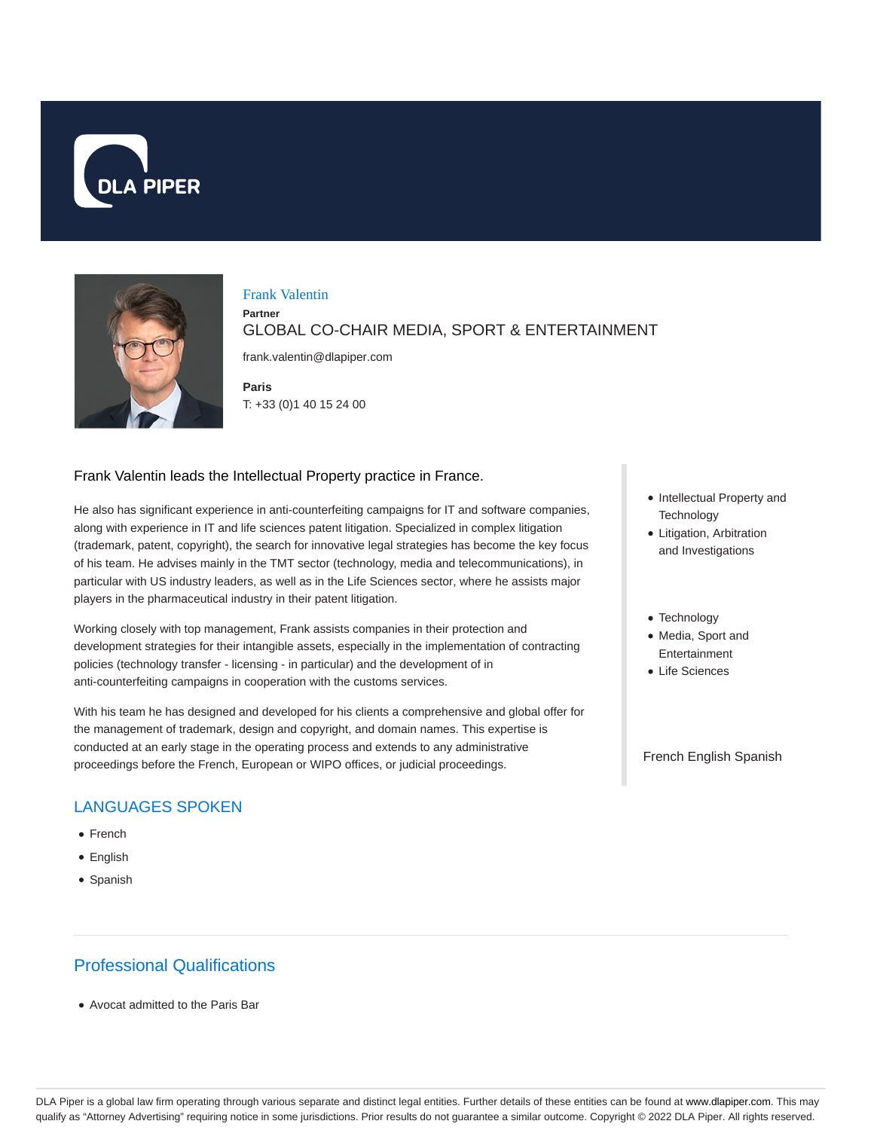



#### Frank Valentin

**Partner** GLOBAL CO-CHAIR MEDIA, SPORT & ENTERTAINMENT

frank.valentin@dlapiper.com

**Paris** T: +33 (0)1 40 15 24 00

#### Frank Valentin leads the Intellectual Property practice in France.

He also has significant experience in anti-counterfeiting campaigns for IT and software companies, along with experience in IT and life sciences patent litigation. Specialized in complex litigation (trademark, patent, copyright), the search for innovative legal strategies has become the key focus of his team. He advises mainly in the TMT sector (technology, media and telecommunications), in particular with US industry leaders, as well as in the Life Sciences sector, where he assists major players in the pharmaceutical industry in their patent litigation.

Working closely with top management, Frank assists companies in their protection and development strategies for their intangible assets, especially in the implementation of contracting policies (technology transfer - licensing - in particular) and the development of in anti-counterfeiting campaigns in cooperation with the customs services.

With his team he has designed and developed for his clients a comprehensive and global offer for the management of trademark, design and copyright, and domain names. This expertise is conducted at an early stage in the operating process and extends to any administrative proceedings before the French, European or WIPO offices, or judicial proceedings.

## LANGUAGES SPOKEN

- French
- English
- Spanish

# Professional Qualifications

Avocat admitted to the Paris Bar

- Intellectual Property and **Technology**
- Litigation, Arbitration and Investigations
- Technology
- Media, Sport and Entertainment
- Life Sciences

French English Spanish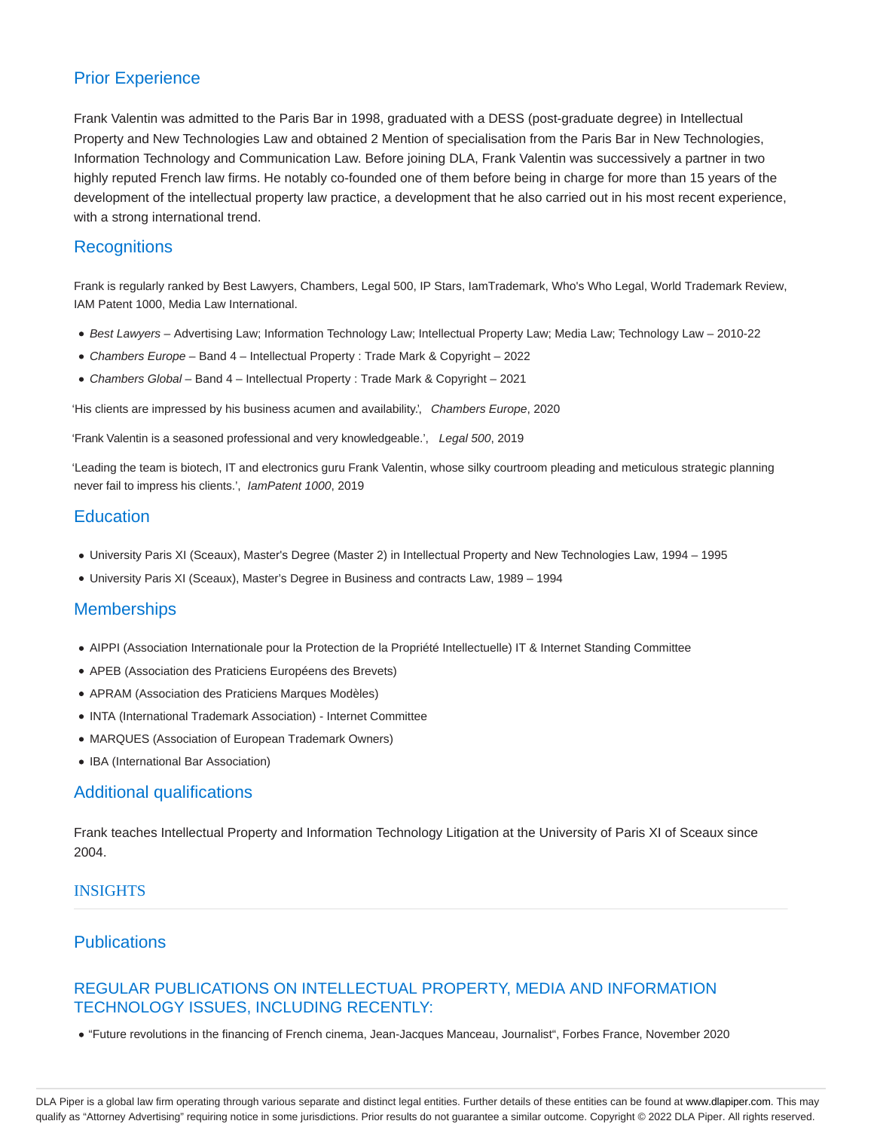### Prior Experience

Frank Valentin was admitted to the Paris Bar in 1998, graduated with a DESS (post-graduate degree) in Intellectual Property and New Technologies Law and obtained 2 Mention of specialisation from the Paris Bar in New Technologies, Information Technology and Communication Law. Before joining DLA, Frank Valentin was successively a partner in two highly reputed French law firms. He notably co-founded one of them before being in charge for more than 15 years of the development of the intellectual property law practice, a development that he also carried out in his most recent experience, with a strong international trend.

#### **Recognitions**

Frank is regularly ranked by Best Lawyers, Chambers, Legal 500, IP Stars, IamTrademark, Who's Who Legal, World Trademark Review, IAM Patent 1000, Media Law International.

- Best Lawyers Advertising Law; Information Technology Law; Intellectual Property Law; Media Law; Technology Law 2010-22
- Chambers Europe Band 4 Intellectual Property : Trade Mark & Copyright 2022
- Chambers Global Band 4 Intellectual Property : Trade Mark & Copyright 2021

'His clients are impressed by his business acumen and availability.', Chambers Europe, 2020

'Frank Valentin is a seasoned professional and very knowledgeable.', Legal 500, 2019

'Leading the team is biotech, IT and electronics guru Frank Valentin, whose silky courtroom pleading and meticulous strategic planning never fail to impress his clients.', IamPatent 1000, 2019

### **Education**

- University Paris XI (Sceaux), Master's Degree (Master 2) in Intellectual Property and New Technologies Law, 1994 1995
- University Paris XI (Sceaux), Master's Degree in Business and contracts Law, 1989 1994

#### **Memberships**

- AIPPI (Association Internationale pour la Protection de la Propriété Intellectuelle) IT & Internet Standing Committee
- APEB (Association des Praticiens Européens des Brevets)
- APRAM (Association des Praticiens Marques Modèles)
- INTA (International Trademark Association) Internet Committee
- MARQUES (Association of European Trademark Owners)
- IBA (International Bar Association)

#### Additional qualifications

Frank teaches Intellectual Property and Information Technology Litigation at the University of Paris XI of Sceaux since 2004.

#### INSIGHTS

## **Publications**

#### REGULAR PUBLICATIONS ON INTELLECTUAL PROPERTY, MEDIA AND INFORMATION TECHNOLOGY ISSUES, INCLUDING RECENTLY:

"Future revolutions in the financing of French cinema, Jean-Jacques Manceau, Journalist", Forbes France, November 2020